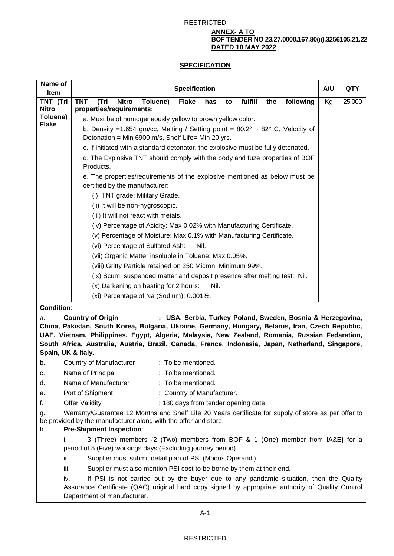#### **ANNEX- A TO BOF TENDER NO 23.27.0000.167.80(ii).3256105.21.22 DATED 10 MAY 2022**

# **SPECIFICATION**

| Name of<br>Item                                                                                                                                                                                      | <b>Specification</b>                                                                                                                                                                                                              | A/U | <b>QTY</b> |
|------------------------------------------------------------------------------------------------------------------------------------------------------------------------------------------------------|-----------------------------------------------------------------------------------------------------------------------------------------------------------------------------------------------------------------------------------|-----|------------|
| TNT (Tri                                                                                                                                                                                             | fulfill<br><b>TNT</b><br>(Tri<br><b>Nitro</b><br>Toluene)<br><b>Flake</b><br>following<br>has<br>the<br>to                                                                                                                        | Kg  | 25,000     |
| <b>Nitro</b>                                                                                                                                                                                         | properties/requirements:                                                                                                                                                                                                          |     |            |
| Toluene)<br><b>Flake</b>                                                                                                                                                                             | a. Must be of homogeneously yellow to brown yellow color.                                                                                                                                                                         |     |            |
|                                                                                                                                                                                                      | b. Density =1.654 gm/cc, Melting / Setting point = $80.2^{\circ} \sim 82^{\circ}$ C, Velocity of                                                                                                                                  |     |            |
|                                                                                                                                                                                                      | Detonation = Min 6900 m/s, Shelf Life= Min 20 yrs.                                                                                                                                                                                |     |            |
|                                                                                                                                                                                                      | c. If initiated with a standard detonator, the explosive must be fully detonated.                                                                                                                                                 |     |            |
|                                                                                                                                                                                                      | d. The Explosive TNT should comply with the body and fuze properties of BOF<br>Products.                                                                                                                                          |     |            |
|                                                                                                                                                                                                      | e. The properties/requirements of the explosive mentioned as below must be<br>certified by the manufacturer:                                                                                                                      |     |            |
|                                                                                                                                                                                                      | (i) TNT grade: Military Grade.                                                                                                                                                                                                    |     |            |
|                                                                                                                                                                                                      | (ii) It will be non-hygroscopic.                                                                                                                                                                                                  |     |            |
|                                                                                                                                                                                                      | (iii) It will not react with metals.                                                                                                                                                                                              |     |            |
|                                                                                                                                                                                                      | (iv) Percentage of Acidity: Max 0.02% with Manufacturing Certificate.                                                                                                                                                             |     |            |
|                                                                                                                                                                                                      | (v) Percentage of Moisture: Max 0.1% with Manufacturing Certificate.                                                                                                                                                              |     |            |
|                                                                                                                                                                                                      | (vi) Percentage of Sulfated Ash:<br>Nil.                                                                                                                                                                                          |     |            |
|                                                                                                                                                                                                      | (vii) Organic Matter insoluble in Toluene: Max 0.05%.                                                                                                                                                                             |     |            |
|                                                                                                                                                                                                      | (viii) Gritty Particle retained on 250 Micron: Minimum 99%.                                                                                                                                                                       |     |            |
|                                                                                                                                                                                                      | (ix) Scum, suspended matter and deposit presence after melting test: Nil.                                                                                                                                                         |     |            |
|                                                                                                                                                                                                      | (x) Darkening on heating for 2 hours:<br>Nil.                                                                                                                                                                                     |     |            |
|                                                                                                                                                                                                      | (xi) Percentage of Na (Sodium): 0.001%.                                                                                                                                                                                           |     |            |
| Condition:                                                                                                                                                                                           |                                                                                                                                                                                                                                   |     |            |
| <b>Country of Origin</b><br>: USA, Serbia, Turkey Poland, Sweden, Bosnia & Herzegovina,<br>а.                                                                                                        |                                                                                                                                                                                                                                   |     |            |
| China, Pakistan, South Korea, Bulgaria, Ukraine, Germany, Hungary, Belarus, Iran, Czech Republic,                                                                                                    |                                                                                                                                                                                                                                   |     |            |
| UAE, Vietnam, Philippines, Egypt, Algeria, Malaysia, New Zealand, Romania, Russian Fedaration,<br>South Africa, Australia, Austria, Brazil, Canada, France, Indonesia, Japan, Netherland, Singapore, |                                                                                                                                                                                                                                   |     |            |
| Spain, UK & Italy.                                                                                                                                                                                   |                                                                                                                                                                                                                                   |     |            |
| b.                                                                                                                                                                                                   | Country of Manufacturer<br>: To be mentioned.                                                                                                                                                                                     |     |            |
| c.                                                                                                                                                                                                   | Name of Principal<br>: To be mentioned.                                                                                                                                                                                           |     |            |
| d.                                                                                                                                                                                                   | Name of Manufacturer<br>: To be mentioned.                                                                                                                                                                                        |     |            |
| е.                                                                                                                                                                                                   | Port of Shipment<br>: Country of Manufacturer.                                                                                                                                                                                    |     |            |
| f.                                                                                                                                                                                                   | <b>Offer Validity</b><br>: 180 days from tender opening date.                                                                                                                                                                     |     |            |
| g.                                                                                                                                                                                                   | Warranty/Guarantee 12 Months and Shelf Life 20 Years certificate for supply of store as per offer to                                                                                                                              |     |            |
| be provided by the manufacturer along with the offer and store.                                                                                                                                      |                                                                                                                                                                                                                                   |     |            |
| <b>Pre-Shipment Inspection:</b><br>h.                                                                                                                                                                |                                                                                                                                                                                                                                   |     |            |
| İ.                                                                                                                                                                                                   | 3 (Three) members {2 (Two) members from BOF & 1 (One) member from IA&E} for a<br>period of 5 (Five) workings days (Excluding journey period).                                                                                     |     |            |
|                                                                                                                                                                                                      | Supplier must submit detail plan of PSI (Modus Operandi).<br>ii.                                                                                                                                                                  |     |            |
|                                                                                                                                                                                                      | iii.<br>Supplier must also mention PSI cost to be borne by them at their end.                                                                                                                                                     |     |            |
|                                                                                                                                                                                                      | If PSI is not carried out by the buyer due to any pandamic situation, then the Quality<br>iv.<br>Assurance Certificate (QAC) original hard copy signed by appropriate authority of Quality Control<br>Department of manufacturer. |     |            |

A-1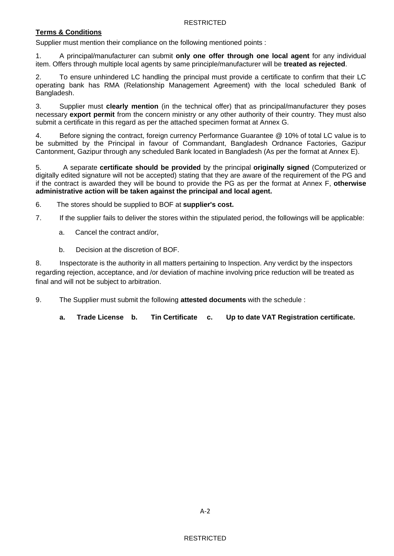### **Terms & Conditions**

Supplier must mention their compliance on the following mentioned points :

1. A principal/manufacturer can submit **only one offer through one local agent** for any individual item. Offers through multiple local agents by same principle/manufacturer will be **treated as rejected**.

2. To ensure unhindered LC handling the principal must provide a certificate to confirm that their LC operating bank has RMA (Relationship Management Agreement) with the local scheduled Bank of Bangladesh.

3. Supplier must **clearly mention** (in the technical offer) that as principal/manufacturer they poses necessary **export permit** from the concern ministry or any other authority of their country. They must also submit a certificate in this regard as per the attached specimen format at Annex G.

4. Before signing the contract, foreign currency Performance Guarantee @ 10% of total LC value is to be submitted by the Principal in favour of Commandant, Bangladesh Ordnance Factories, Gazipur Cantonment, Gazipur through any scheduled Bank located in Bangladesh (As per the format at Annex E).

5. A separate **certificate should be provided** by the principal **originally signed** (Computerized or digitally edited signature will not be accepted) stating that they are aware of the requirement of the PG and if the contract is awarded they will be bound to provide the PG as per the format at Annex F, **otherwise administrative action will be taken against the principal and local agent.** 

6. The stores should be supplied to BOF at **supplier's cost.**

7. If the supplier fails to deliver the stores within the stipulated period, the followings will be applicable:

- a. Cancel the contract and/or,
- b. Decision at the discretion of BOF.

8. Inspectorate is the authority in all matters pertaining to Inspection. Any verdict by the inspectors regarding rejection, acceptance, and /or deviation of machine involving price reduction will be treated as final and will not be subject to arbitration.

9. The Supplier must submit the following **attested documents** with the schedule :

**a. Trade License b. Tin Certificate c. Up to date VAT Registration certificate.**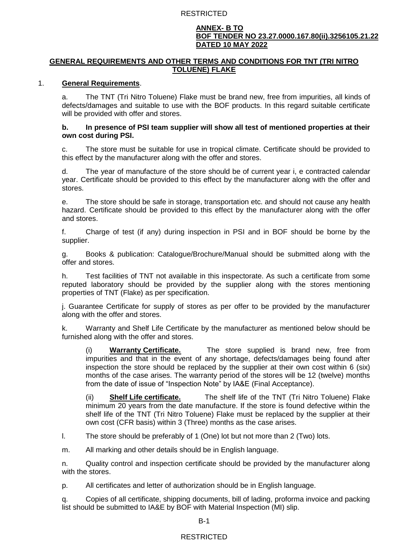#### **ANNEX- B TO BOF TENDER NO 23.27.0000.167.80(ii).3256105.21.22 DATED 10 MAY 2022**

### **GENERAL REQUIREMENTS AND OTHER TERMS AND CONDITIONS FOR TNT (TRI NITRO TOLUENE) FLAKE**

### 1. **General Requirements**.

a. The TNT (Tri Nitro Toluene) Flake must be brand new, free from impurities, all kinds of defects/damages and suitable to use with the BOF products. In this regard suitable certificate will be provided with offer and stores.

### **b. In presence of PSI team supplier will show all test of mentioned properties at their own cost during PSI.**

c. The store must be suitable for use in tropical climate. Certificate should be provided to this effect by the manufacturer along with the offer and stores.

d. The year of manufacture of the store should be of current year i, e contracted calendar year. Certificate should be provided to this effect by the manufacturer along with the offer and stores.

e. The store should be safe in storage, transportation etc. and should not cause any health hazard. Certificate should be provided to this effect by the manufacturer along with the offer and stores.

f. Charge of test (if any) during inspection in PSI and in BOF should be borne by the supplier.

g. Books & publication: Catalogue/Brochure/Manual should be submitted along with the offer and stores.

h. Test facilities of TNT not available in this inspectorate. As such a certificate from some reputed laboratory should be provided by the supplier along with the stores mentioning properties of TNT (Flake) as per specification.

j. Guarantee Certificate for supply of stores as per offer to be provided by the manufacturer along with the offer and stores.

k. Warranty and Shelf Life Certificate by the manufacturer as mentioned below should be furnished along with the offer and stores.

(i) **Warranty Certificate.** The store supplied is brand new, free from impurities and that in the event of any shortage, defects/damages being found after inspection the store should be replaced by the supplier at their own cost within 6 (six) months of the case arises. The warranty period of the stores will be 12 (twelve) months from the date of issue of "Inspection Note" by IA&E (Final Acceptance).

(ii) **Shelf Life certificate.** The shelf life of the TNT (Tri Nitro Toluene) Flake minimum 20 years from the date manufacture. If the store is found defective within the shelf life of the TNT (Tri Nitro Toluene) Flake must be replaced by the supplier at their own cost (CFR basis) within 3 (Three) months as the case arises.

l. The store should be preferably of 1 (One) lot but not more than 2 (Two) lots.

m. All marking and other details should be in English language.

n. Quality control and inspection certificate should be provided by the manufacturer along with the stores.

p. All certificates and letter of authorization should be in English language.

q. Copies of all certificate, shipping documents, bill of lading, proforma invoice and packing list should be submitted to IA&E by BOF with Material Inspection (MI) slip.

B-1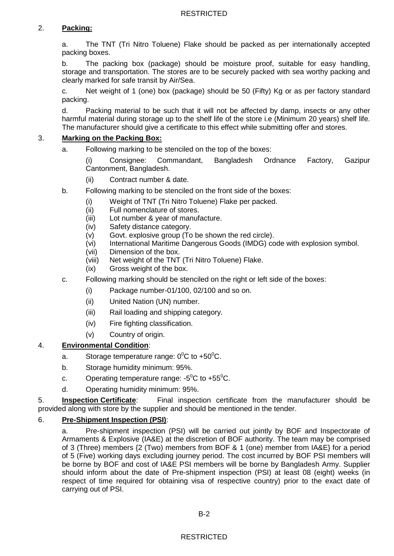# 2. **Packing:**

a. The TNT (Tri Nitro Toluene) Flake should be packed as per internationally accepted packing boxes.

b. The packing box (package) should be moisture proof, suitable for easy handling, storage and transportation. The stores are to be securely packed with sea worthy packing and clearly marked for safe transit by Air/Sea.

c. Net weight of 1 (one) box (package) should be 50 (Fifty) Kg or as per factory standard packing.

d. Packing material to be such that it will not be affected by damp, insects or any other harmful material during storage up to the shelf life of the store i.e (Minimum 20 years) shelf life. The manufacturer should give a certificate to this effect while submitting offer and stores.

### 3. **Marking on the Packing Box:**

a. Following marking to be stenciled on the top of the boxes:

(i) Consignee: Commandant, Bangladesh Ordnance Factory, Gazipur Cantonment, Bangladesh.

- (ii) Contract number & date.
- b. Following marking to be stenciled on the front side of the boxes:
	- (i) Weight of TNT (Tri Nitro Toluene) Flake per packed.
	- (ii) Full nomenclature of stores.
	- (iii) Lot number & year of manufacture.
	- (iv) Safety distance category.
	- (v) Govt. explosive group (To be shown the red circle).
	- (vi) International Maritime Dangerous Goods (IMDG) code with explosion symbol.
	- (vii) Dimension of the box.
	- (viii) Net weight of the TNT (Tri Nitro Toluene) Flake.
	- (ix) Gross weight of the box.
- c. Following marking should be stenciled on the right or left side of the boxes:
	- (i) Package number-01/100, 02/100 and so on.
	- (ii) United Nation (UN) number.
	- (iii) Rail loading and shipping category.
	- (iv) Fire fighting classification.
	- (v) Country of origin.

# 4. **Environmental Condition**:

- a. Storage temperature range:  $0^0C$  to +50 $^0C$ .
- b. Storage humidity minimum: 95%.
- c. Operating temperature range:  $-5^{\circ}$ C to  $+55^{\circ}$ C.
- d. Operating humidity minimum: 95%.

5. **Inspection Certificate**: Final inspection certificate from the manufacturer should be provided along with store by the supplier and should be mentioned in the tender.

### 6. **Pre-Shipment Inspection (PSI)**:

a. Pre-shipment inspection (PSI) will be carried out jointly by BOF and Inspectorate of Armaments & Explosive (IA&E) at the discretion of BOF authority. The team may be comprised of 3 (Three) members {2 (Two) members from BOF & 1 (one) member from IA&E} for a period of 5 (Five) working days excluding journey period. The cost incurred by BOF PSI members will be borne by BOF and cost of IA&E PSI members will be borne by Bangladesh Army. Supplier should inform about the date of Pre-shipment inspection (PSI) at least 08 (eight) weeks (in respect of time required for obtaining visa of respective country) prior to the exact date of carrying out of PSI.